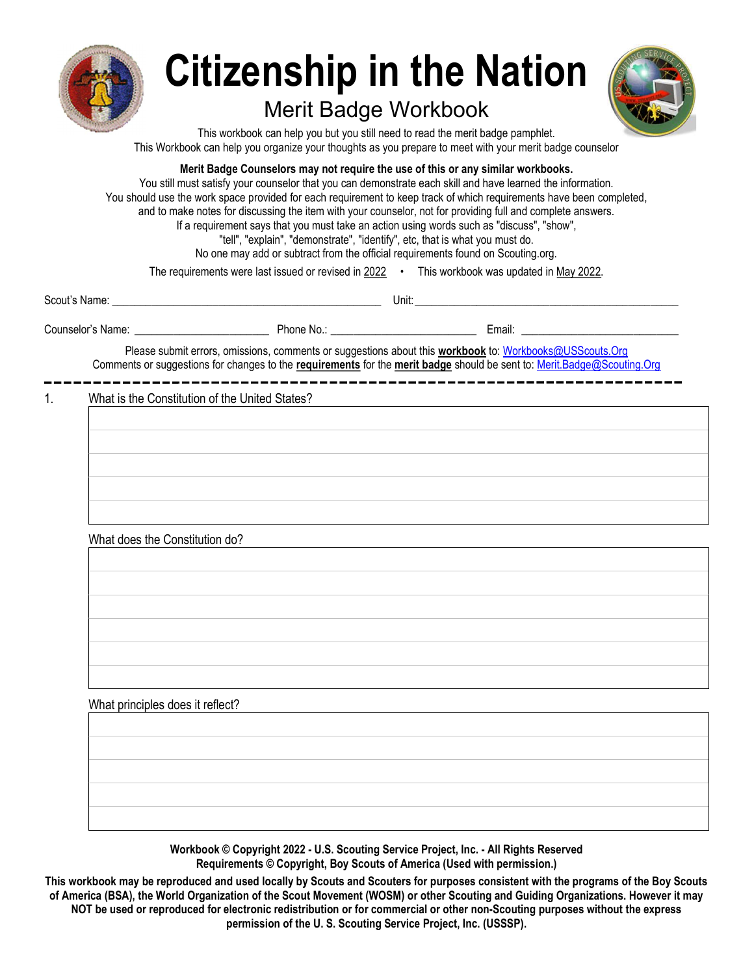

# Citizenship in the Nation

# Merit Badge Workbook



This workbook can help you but you still need to read the merit badge pamphlet. This Workbook can help you organize your thoughts as you prepare to meet with your merit badge counselor

Merit Badge Counselors may not require the use of this or any similar workbooks.

You still must satisfy your counselor that you can demonstrate each skill and have learned the information. You should use the work space provided for each requirement to keep track of which requirements have been completed, and to make notes for discussing the item with your counselor, not for providing full and complete answers. If a requirement says that you must take an action using words such as "discuss", "show", "tell", "explain", "demonstrate", "identify", etc, that is what you must do. No one may add or subtract from the official requirements found on Scouting.org.

The requirements were last issued or revised in 2022 • This workbook was updated in May 2022.

| Scout's Name:     |          | Unit: |                  |
|-------------------|----------|-------|------------------|
| Counselor's Name: | Phone No |       | $\sim$<br>Email: |

Please submit errors, omissions, comments or suggestions about this workbook to: Workbooks@USScouts.Org Comments or suggestions for changes to the requirements for the merit badge should be sent to: Merit.Badge@Scouting.Org

1. What is the Constitution of the United States?

| What does the Constitution do? |  |  |  |
|--------------------------------|--|--|--|
|                                |  |  |  |
|                                |  |  |  |
|                                |  |  |  |
|                                |  |  |  |
|                                |  |  |  |

Workbook © Copyright 2022 - U.S. Scouting Service Project, Inc. - All Rights Reserved Requirements © Copyright, Boy Scouts of America (Used with permission.)

This workbook may be reproduced and used locally by Scouts and Scouters for purposes consistent with the programs of the Boy Scouts of America (BSA), the World Organization of the Scout Movement (WOSM) or other Scouting and Guiding Organizations. However it may NOT be used or reproduced for electronic redistribution or for commercial or other non-Scouting purposes without the express permission of the U. S. Scouting Service Project, Inc. (USSSP).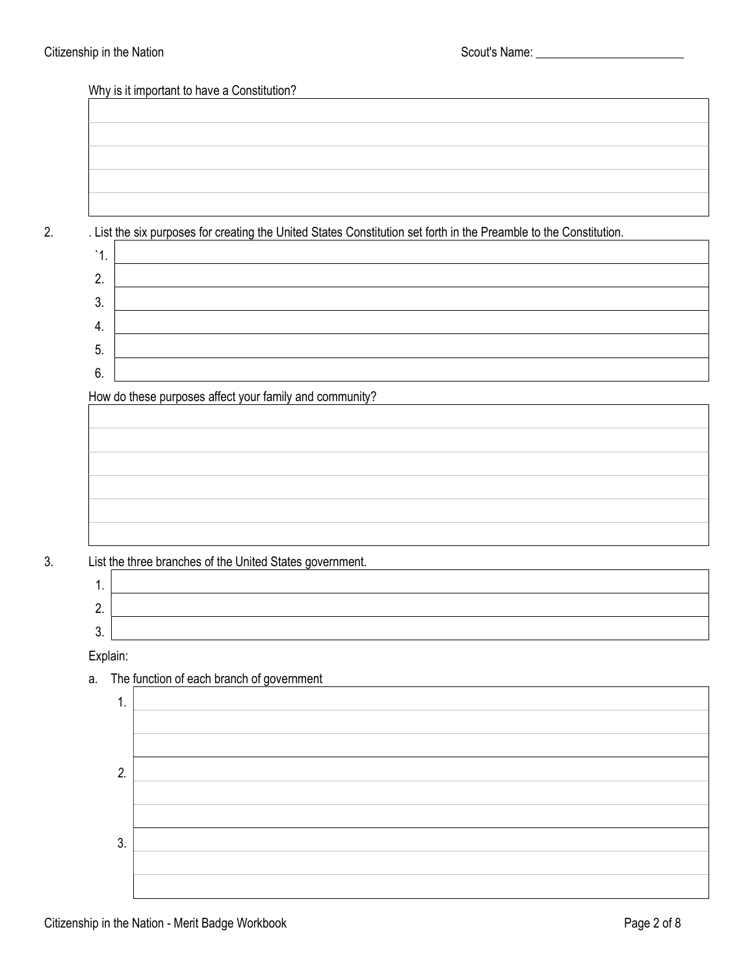| v |  |
|---|--|
| I |  |
|   |  |

2. . List the six purposes for creating the United States Constitution set forth in the Preamble to the Constitution.  $\sqrt{1}$ 

| . . |  |
|-----|--|
| 2.  |  |
| 3.  |  |
| 4.  |  |
| 5.  |  |
| 6.  |  |

How do these purposes affect your family and community?



3. List the three branches of the United States government.

| . .           |  |
|---------------|--|
| ⌒<br><u>.</u> |  |
| $\sim$<br>v.  |  |

Explain:

a. The function of each branch of government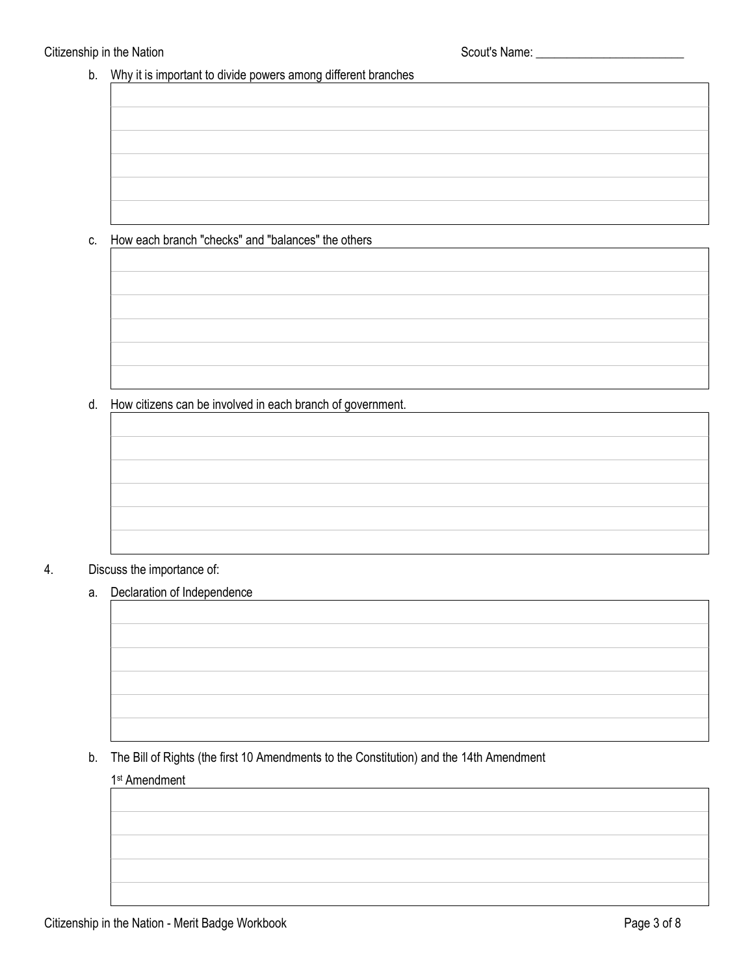b. Why it is important to divide powers among different branches

#### c. How each branch "checks" and "balances" the others

#### d. How citizens can be involved in each branch of government.

#### 4. Discuss the importance of:

a. Declaration of Independence

#### b. The Bill of Rights (the first 10 Amendments to the Constitution) and the 14th Amendment

#### 1st Amendment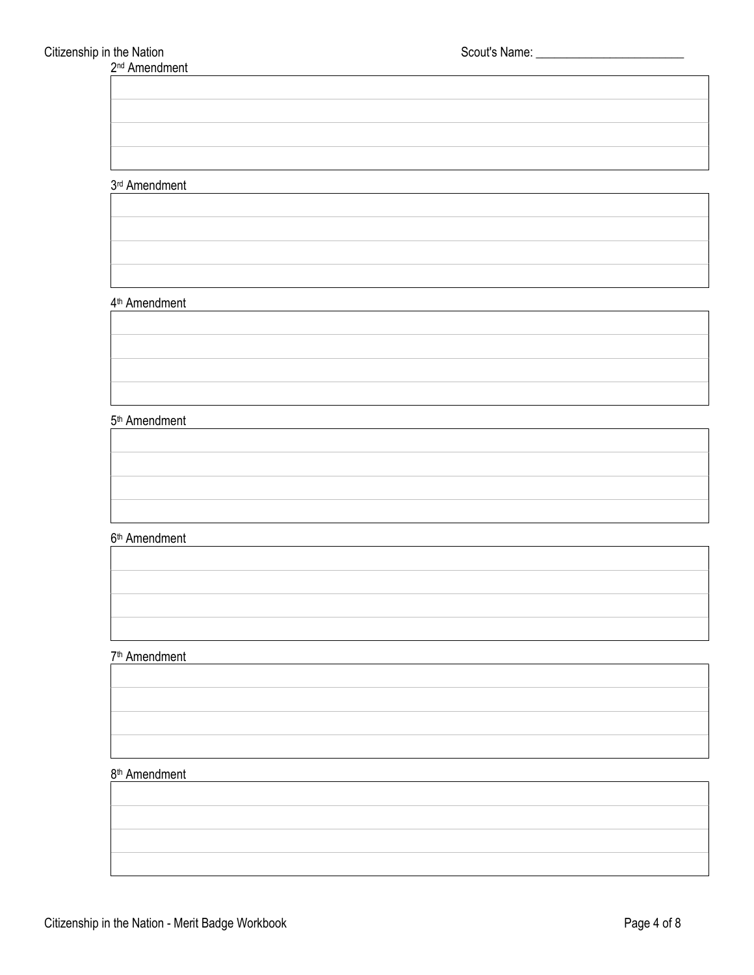2<sup>nd</sup> Amendment

#### 3rd Amendment

#### 4th Amendment

#### 5th Amendment

## 6th Amendment

#### 7th Amendment

### 8<sup>th</sup> Amendment

|  | Citizenship in the Nation - Merit Badge Workbook | Page 4 of 8 |
|--|--------------------------------------------------|-------------|
|--|--------------------------------------------------|-------------|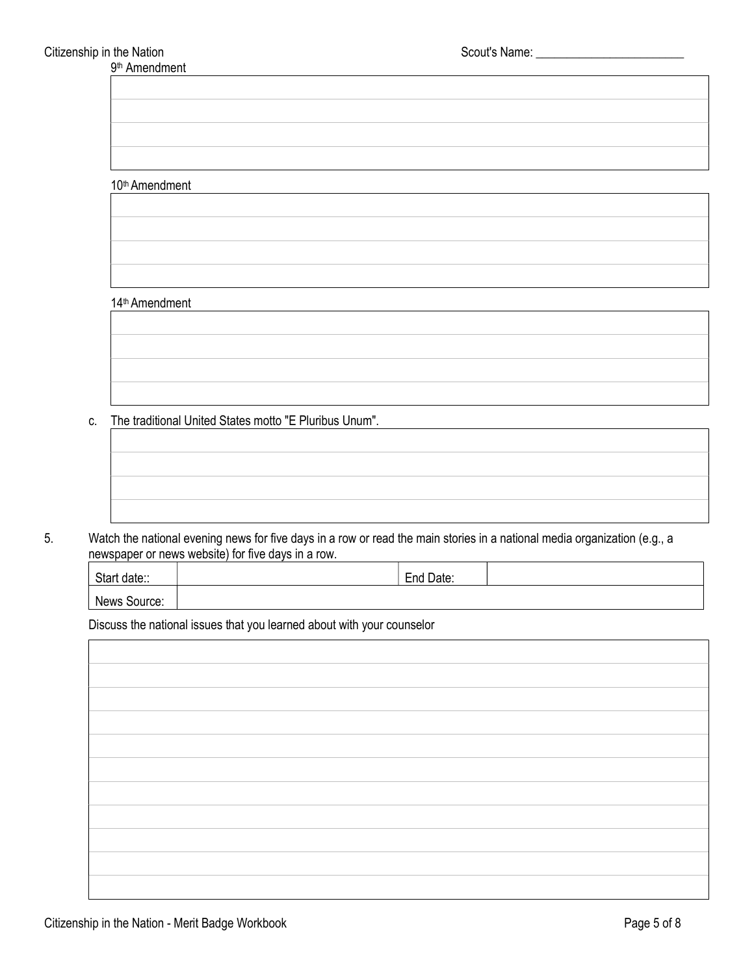#### 10th Amendment

#### 14th Amendment

c. The traditional United States motto "E Pluribus Unum".

5. Watch the national evening news for five days in a row or read the main stories in a national media organization (e.g., a newspaper or news website) for five days in a row.

| Start<br>date:: | End Date: |  |
|-----------------|-----------|--|
| News<br>Source: |           |  |

Discuss the national issues that you learned about with your counselor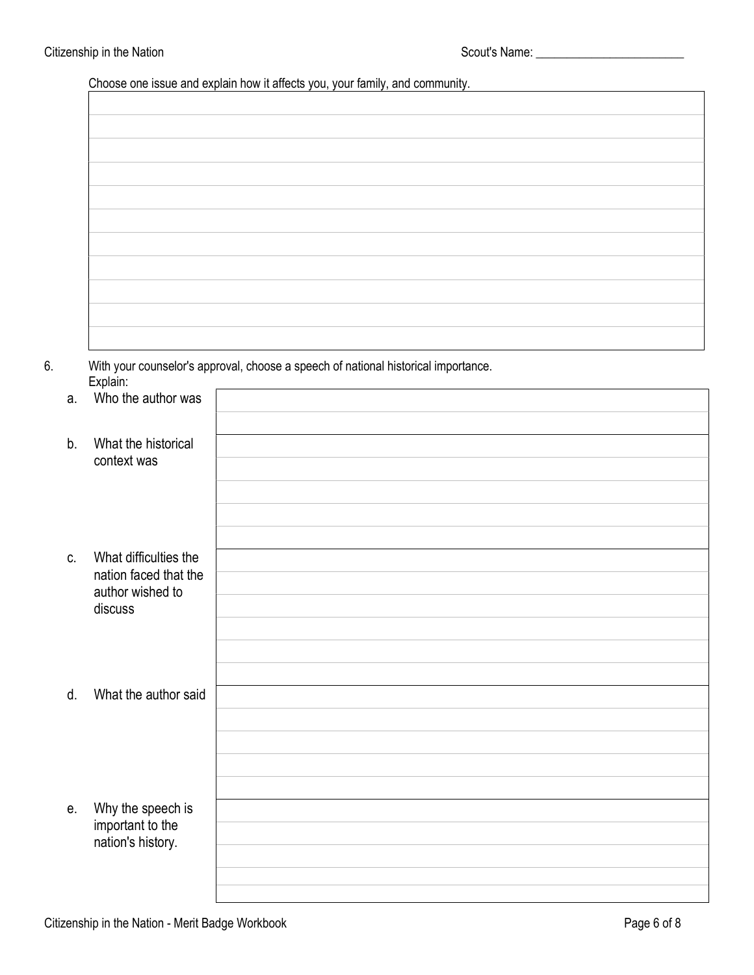Choose one issue and explain how it affects you, your family, and community.

6. With your counselor's approval, choose a speech of national historical importance. Explain:

|         | Explain:                                  | With your counselor's approval, choose a speech of national historical importance. |
|---------|-------------------------------------------|------------------------------------------------------------------------------------|
| a.      | Who the author was                        |                                                                                    |
|         |                                           |                                                                                    |
| b.      | What the historical                       |                                                                                    |
|         | context was                               |                                                                                    |
|         |                                           |                                                                                    |
|         |                                           |                                                                                    |
|         |                                           |                                                                                    |
| $C_{1}$ | What difficulties the                     |                                                                                    |
|         | nation faced that the<br>author wished to |                                                                                    |
|         | discuss                                   |                                                                                    |
|         |                                           |                                                                                    |
|         |                                           |                                                                                    |
|         |                                           |                                                                                    |
| d.      | What the author said                      |                                                                                    |
|         |                                           |                                                                                    |
|         |                                           |                                                                                    |
|         |                                           |                                                                                    |
|         |                                           |                                                                                    |
| е.      | Why the speech is                         |                                                                                    |
|         | important to the<br>nation's history.     |                                                                                    |
|         |                                           |                                                                                    |
|         |                                           |                                                                                    |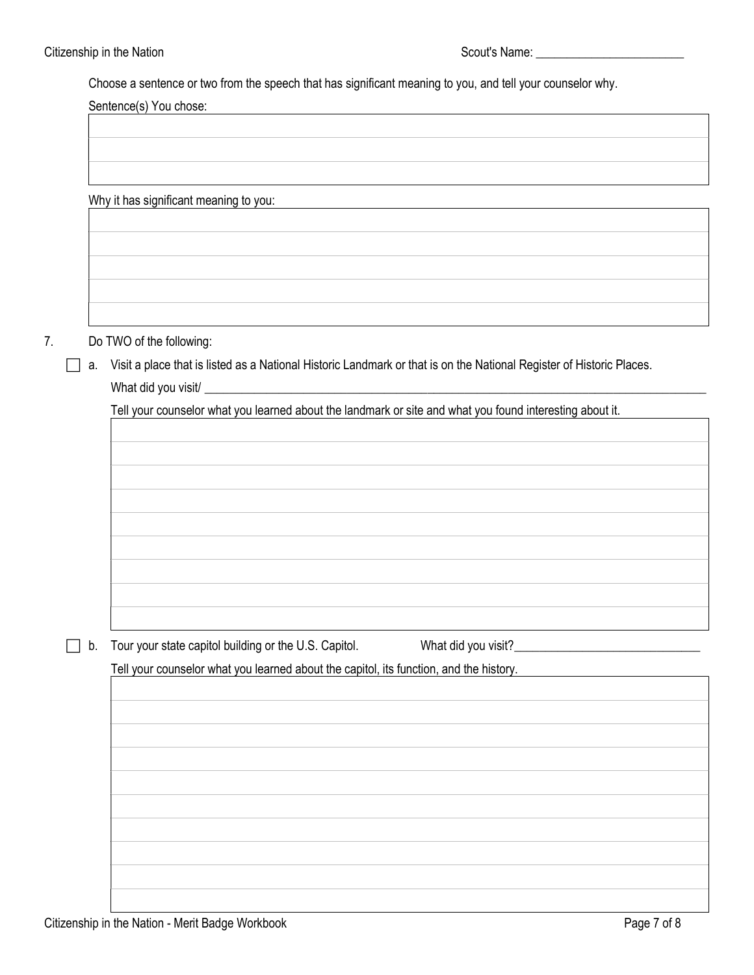Choose a sentence or two from the speech that has significant meaning to you, and tell your counselor why.

Sentence(s) You chose:

Why it has significant meaning to you:

- 7. Do TWO of the following:
	- a. Visit a place that is listed as a National Historic Landmark or that is on the National Register of Historic Places. What did you visit/

Tell your counselor what you learned about the landmark or site and what you found interesting about it.

b. Tour your state capitol building or the U.S. Capitol. What did you visit? \_\_\_\_\_\_\_\_\_\_\_\_\_\_\_\_\_\_\_\_\_\_\_\_\_\_\_\_\_\_

Tell your counselor what you learned about the capitol, its function, and the history.